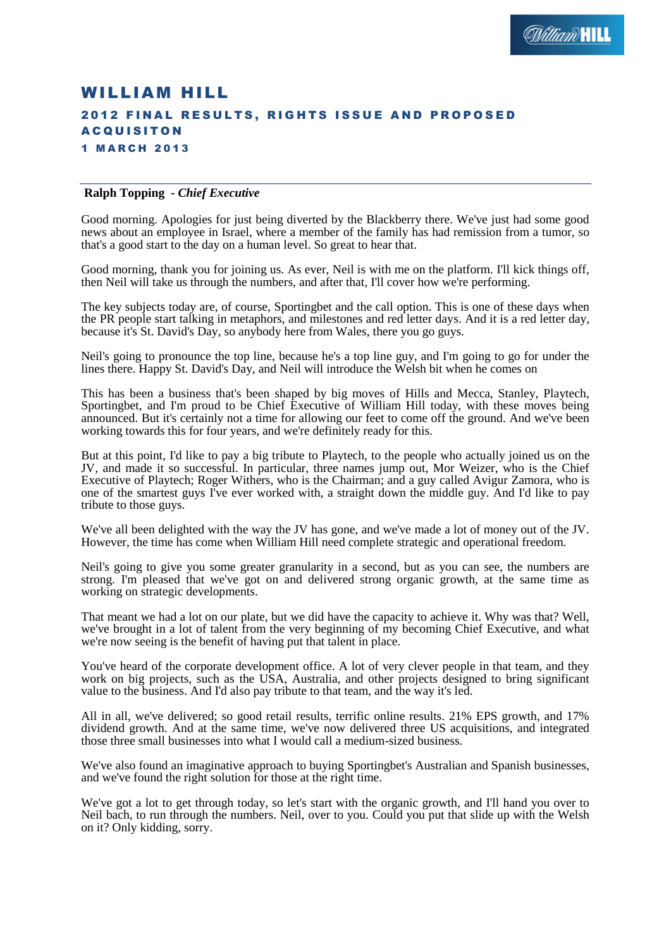# WILLIAM HILL 2012 FINAL RESULTS, RIGHTS ISSUE AND PROPOSED **A C Q U I S I T O N** 1 M A R C H 2 0 1 3

#### **Ralph Topping** *- Chief Executive*

Good morning. Apologies for just being diverted by the Blackberry there. We've just had some good news about an employee in Israel, where a member of the family has had remission from a tumor, so that's a good start to the day on a human level. So great to hear that.

Good morning, thank you for joining us. As ever, Neil is with me on the platform. I'll kick things off, then Neil will take us through the numbers, and after that, I'll cover how we're performing.

The key subjects today are, of course, Sportingbet and the call option. This is one of these days when the PR people start talking in metaphors, and milestones and red letter days. And it is a red letter day, because it's St. David's Day, so anybody here from Wales, there you go guys.

Neil's going to pronounce the top line, because he's a top line guy, and I'm going to go for under the lines there. Happy St. David's Day, and Neil will introduce the Welsh bit when he comes on

This has been a business that's been shaped by big moves of Hills and Mecca, Stanley, Playtech, Sportingbet, and I'm proud to be Chief Executive of William Hill today, with these moves being announced. But it's certainly not a time for allowing our feet to come off the ground. And we've been working towards this for four years, and we're definitely ready for this.

But at this point, I'd like to pay a big tribute to Playtech, to the people who actually joined us on the JV, and made it so successful. In particular, three names jump out, Mor Weizer, who is the Chief Executive of Playtech; Roger Withers, who is the Chairman; and a guy called Avigur Zamora, who is one of the smartest guys I've ever worked with, a straight down the middle guy. And I'd like to pay tribute to those guys.

We've all been delighted with the way the JV has gone, and we've made a lot of money out of the JV. However, the time has come when William Hill need complete strategic and operational freedom.

Neil's going to give you some greater granularity in a second, but as you can see, the numbers are strong. I'm pleased that we've got on and delivered strong organic growth, at the same time as working on strategic developments.

That meant we had a lot on our plate, but we did have the capacity to achieve it. Why was that? Well, we've brought in a lot of talent from the very beginning of my becoming Chief Executive, and what we're now seeing is the benefit of having put that talent in place.

You've heard of the corporate development office. A lot of very clever people in that team, and they work on big projects, such as the USA, Australia, and other projects designed to bring significant value to the business. And I'd also pay tribute to that team, and the way it's led.

All in all, we've delivered; so good retail results, terrific online results. 21% EPS growth, and 17% dividend growth. And at the same time, we've now delivered three US acquisitions, and integrated those three small businesses into what I would call a medium-sized business.

We've also found an imaginative approach to buying Sportingbet's Australian and Spanish businesses, and we've found the right solution for those at the right time.

We've got a lot to get through today, so let's start with the organic growth, and I'll hand you over to Neil bach, to run through the numbers. Neil, over to you. Could you put that slide up with the Welsh on it? Only kidding, sorry.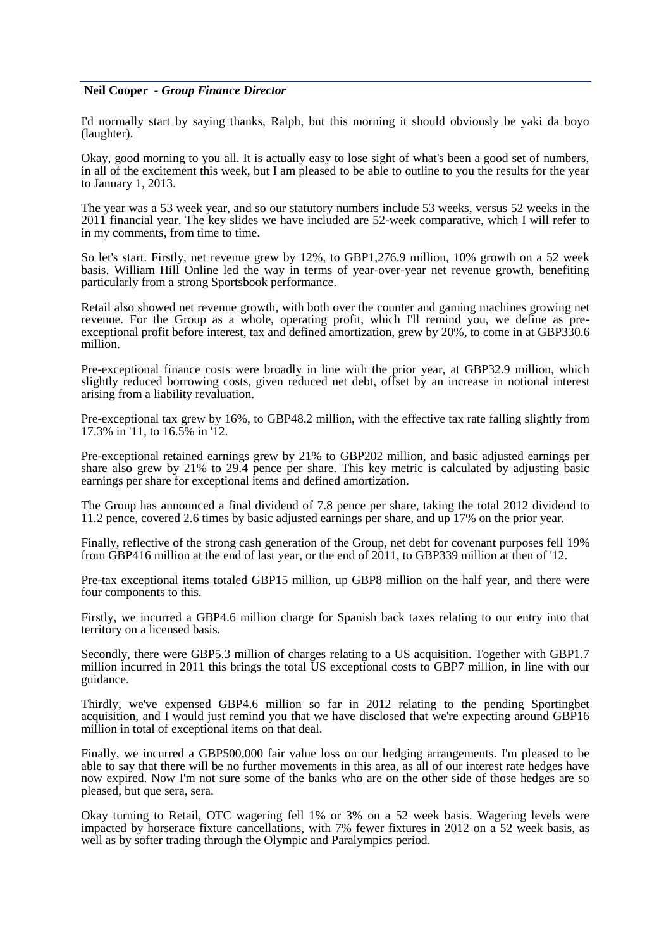#### **Neil Cooper** *- Group Finance Director*

I'd normally start by saying thanks, Ralph, but this morning it should obviously be yaki da boyo (laughter).

Okay, good morning to you all. It is actually easy to lose sight of what's been a good set of numbers, in all of the excitement this week, but I am pleased to be able to outline to you the results for the year to January 1, 2013.

The year was a 53 week year, and so our statutory numbers include 53 weeks, versus 52 weeks in the 2011 financial year. The key slides we have included are 52-week comparative, which I will refer to in my comments, from time to time.

So let's start. Firstly, net revenue grew by 12%, to GBP1,276.9 million, 10% growth on a 52 week basis. William Hill Online led the way in terms of year-over-year net revenue growth, benefiting particularly from a strong Sportsbook performance.

Retail also showed net revenue growth, with both over the counter and gaming machines growing net revenue. For the Group as a whole, operating profit, which I'll remind you, we define as preexceptional profit before interest, tax and defined amortization, grew by 20%, to come in at GBP330.6 million.

Pre-exceptional finance costs were broadly in line with the prior year, at GBP32.9 million, which slightly reduced borrowing costs, given reduced net debt, offset by an increase in notional interest arising from a liability revaluation.

Pre-exceptional tax grew by 16%, to GBP48.2 million, with the effective tax rate falling slightly from 17.3% in '11, to 16.5% in '12.

Pre-exceptional retained earnings grew by 21% to GBP202 million, and basic adjusted earnings per share also grew by 21% to 29.4 pence per share. This key metric is calculated by adjusting basic earnings per share for exceptional items and defined amortization.

The Group has announced a final dividend of 7.8 pence per share, taking the total 2012 dividend to 11.2 pence, covered 2.6 times by basic adjusted earnings per share, and up 17% on the prior year.

Finally, reflective of the strong cash generation of the Group, net debt for covenant purposes fell 19% from GBP416 million at the end of last year, or the end of 2011, to GBP339 million at then of '12.

Pre-tax exceptional items totaled GBP15 million, up GBP8 million on the half year, and there were four components to this.

Firstly, we incurred a GBP4.6 million charge for Spanish back taxes relating to our entry into that territory on a licensed basis.

Secondly, there were GBP5.3 million of charges relating to a US acquisition. Together with GBP1.7 million incurred in 2011 this brings the total US exceptional costs to GBP7 million, in line with our guidance.

Thirdly, we've expensed GBP4.6 million so far in 2012 relating to the pending Sportingbet acquisition, and I would just remind you that we have disclosed that we're expecting around GBP16 million in total of exceptional items on that deal.

Finally, we incurred a GBP500,000 fair value loss on our hedging arrangements. I'm pleased to be able to say that there will be no further movements in this area, as all of our interest rate hedges have now expired. Now I'm not sure some of the banks who are on the other side of those hedges are so pleased, but que sera, sera.

Okay turning to Retail, OTC wagering fell 1% or 3% on a 52 week basis. Wagering levels were impacted by horserace fixture cancellations, with 7% fewer fixtures in 2012 on a 52 week basis, as well as by softer trading through the Olympic and Paralympics period.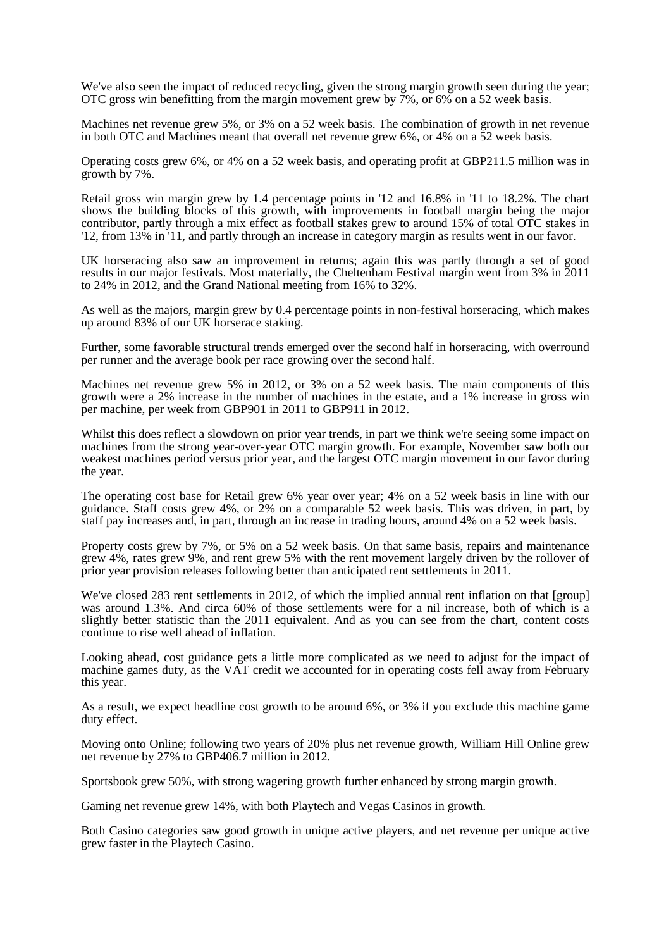We've also seen the impact of reduced recycling, given the strong margin growth seen during the year; OTC gross win benefitting from the margin movement grew by  $\frac{7}{6}$ , or  $\frac{6}{6}$  on a 52 week basis.

Machines net revenue grew 5%, or 3% on a 52 week basis. The combination of growth in net revenue in both OTC and Machines meant that overall net revenue grew 6%, or 4% on a 52 week basis.

Operating costs grew 6%, or 4% on a 52 week basis, and operating profit at GBP211.5 million was in growth by 7%.

Retail gross win margin grew by 1.4 percentage points in '12 and 16.8% in '11 to 18.2%. The chart shows the building blocks of this growth, with improvements in football margin being the major contributor, partly through a mix effect as football stakes grew to around 15% of total OTC stakes in '12, from 13% in '11, and partly through an increase in category margin as results went in our favor.

UK horseracing also saw an improvement in returns; again this was partly through a set of good results in our major festivals. Most materially, the Cheltenham Festival margin went from 3% in 2011 to 24% in 2012, and the Grand National meeting from 16% to 32%.

As well as the majors, margin grew by 0.4 percentage points in non-festival horseracing, which makes up around 83% of our UK horserace staking.

Further, some favorable structural trends emerged over the second half in horseracing, with overround per runner and the average book per race growing over the second half.

Machines net revenue grew 5% in 2012, or 3% on a 52 week basis. The main components of this growth were a 2% increase in the number of machines in the estate, and a 1% increase in gross win per machine, per week from GBP901 in 2011 to GBP911 in 2012.

Whilst this does reflect a slowdown on prior year trends, in part we think we're seeing some impact on machines from the strong year-over-year OTC margin growth. For example, November saw both our weakest machines period versus prior year, and the largest OTC margin movement in our favor during the year.

The operating cost base for Retail grew 6% year over year; 4% on a 52 week basis in line with our guidance. Staff costs grew 4%, or 2% on a comparable 52 week basis. This was driven, in part, by staff pay increases and, in part, through an increase in trading hours, around 4% on a 52 week basis.

Property costs grew by 7%, or 5% on a 52 week basis. On that same basis, repairs and maintenance grew 4%, rates grew 9%, and rent grew 5% with the rent movement largely driven by the rollover of prior year provision releases following better than anticipated rent settlements in 2011.

We've closed 283 rent settlements in 2012, of which the implied annual rent inflation on that [group] was around 1.3%. And circa 60% of those settlements were for a nil increase, both of which is a slightly better statistic than the 2011 equivalent. And as you can see from the chart, content costs continue to rise well ahead of inflation.

Looking ahead, cost guidance gets a little more complicated as we need to adjust for the impact of machine games duty, as the VAT credit we accounted for in operating costs fell away from February this year.

As a result, we expect headline cost growth to be around 6%, or 3% if you exclude this machine game duty effect.

Moving onto Online; following two years of 20% plus net revenue growth, William Hill Online grew net revenue by 27% to GBP406.7 million in 2012.

Sportsbook grew 50%, with strong wagering growth further enhanced by strong margin growth.

Gaming net revenue grew 14%, with both Playtech and Vegas Casinos in growth.

Both Casino categories saw good growth in unique active players, and net revenue per unique active grew faster in the Playtech Casino.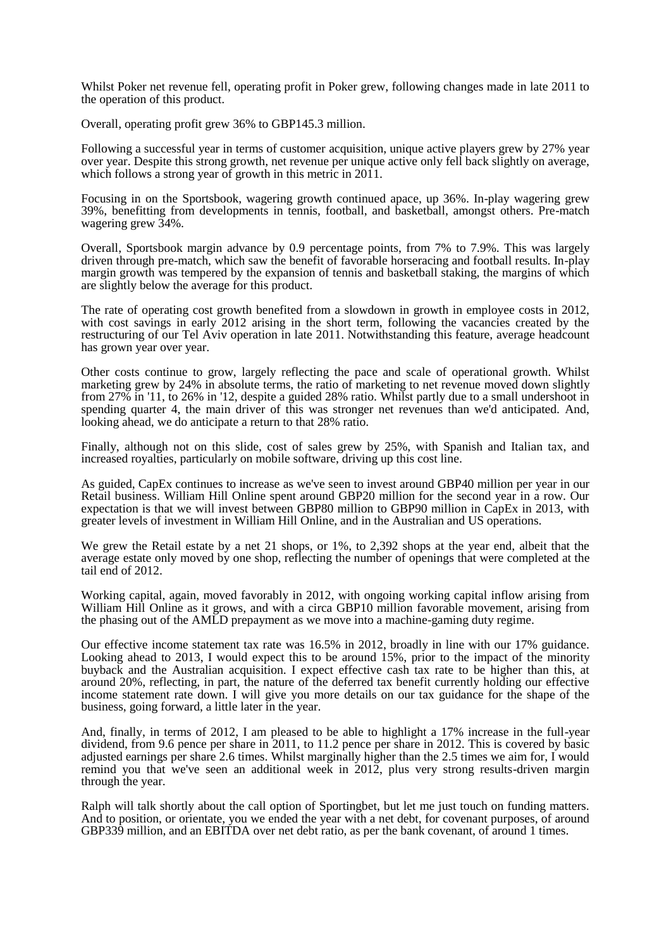Whilst Poker net revenue fell, operating profit in Poker grew, following changes made in late 2011 to the operation of this product.

Overall, operating profit grew 36% to GBP145.3 million.

Following a successful year in terms of customer acquisition, unique active players grew by 27% year over year. Despite this strong growth, net revenue per unique active only fell back slightly on average, which follows a strong year of growth in this metric in 2011.

Focusing in on the Sportsbook, wagering growth continued apace, up 36%. In-play wagering grew 39%, benefitting from developments in tennis, football, and basketball, amongst others. Pre-match wagering grew 34%.

Overall, Sportsbook margin advance by 0.9 percentage points, from 7% to 7.9%. This was largely driven through pre-match, which saw the benefit of favorable horseracing and football results. In-play margin growth was tempered by the expansion of tennis and basketball staking, the margins of which are slightly below the average for this product.

The rate of operating cost growth benefited from a slowdown in growth in employee costs in 2012, with cost savings in early 2012 arising in the short term, following the vacancies created by the restructuring of our Tel Aviv operation in late 2011. Notwithstanding this feature, average headcount has grown year over year.

Other costs continue to grow, largely reflecting the pace and scale of operational growth. Whilst marketing grew by 24% in absolute terms, the ratio of marketing to net revenue moved down slightly from 27% in '11, to 26% in '12, despite a guided 28% ratio. Whilst partly due to a small undershoot in spending quarter 4, the main driver of this was stronger net revenues than we'd anticipated. And, looking ahead, we do anticipate a return to that 28% ratio.

Finally, although not on this slide, cost of sales grew by 25%, with Spanish and Italian tax, and increased royalties, particularly on mobile software, driving up this cost line.

As guided, CapEx continues to increase as we've seen to invest around GBP40 million per year in our Retail business. William Hill Online spent around GBP20 million for the second year in a row. Our expectation is that we will invest between GBP80 million to GBP90 million in CapEx in 2013, with greater levels of investment in William Hill Online, and in the Australian and US operations.

We grew the Retail estate by a net 21 shops, or 1%, to 2,392 shops at the year end, albeit that the average estate only moved by one shop, reflecting the number of openings that were completed at the tail end of 2012.

Working capital, again, moved favorably in 2012, with ongoing working capital inflow arising from William Hill Online as it grows, and with a circa GBP10 million favorable movement, arising from the phasing out of the AMLD prepayment as we move into a machine-gaming duty regime.

Our effective income statement tax rate was 16.5% in 2012, broadly in line with our 17% guidance. Looking ahead to 2013, I would expect this to be around 15%, prior to the impact of the minority buyback and the Australian acquisition. I expect effective cash tax rate to be higher than this, at around 20%, reflecting, in part, the nature of the deferred tax benefit currently holding our effective income statement rate down. I will give you more details on our tax guidance for the shape of the business, going forward, a little later in the year.

And, finally, in terms of 2012, I am pleased to be able to highlight a 17% increase in the full-year dividend, from 9.6 pence per share in 2011, to 11.2 pence per share in 2012. This is covered by basic adjusted earnings per share 2.6 times. Whilst marginally higher than the 2.5 times we aim for, I would remind you that we've seen an additional week in 2012, plus very strong results-driven margin through the year.

Ralph will talk shortly about the call option of Sportingbet, but let me just touch on funding matters. And to position, or orientate, you we ended the year with a net debt, for covenant purposes, of around GBP339 million, and an EBITDA over net debt ratio, as per the bank covenant, of around 1 times.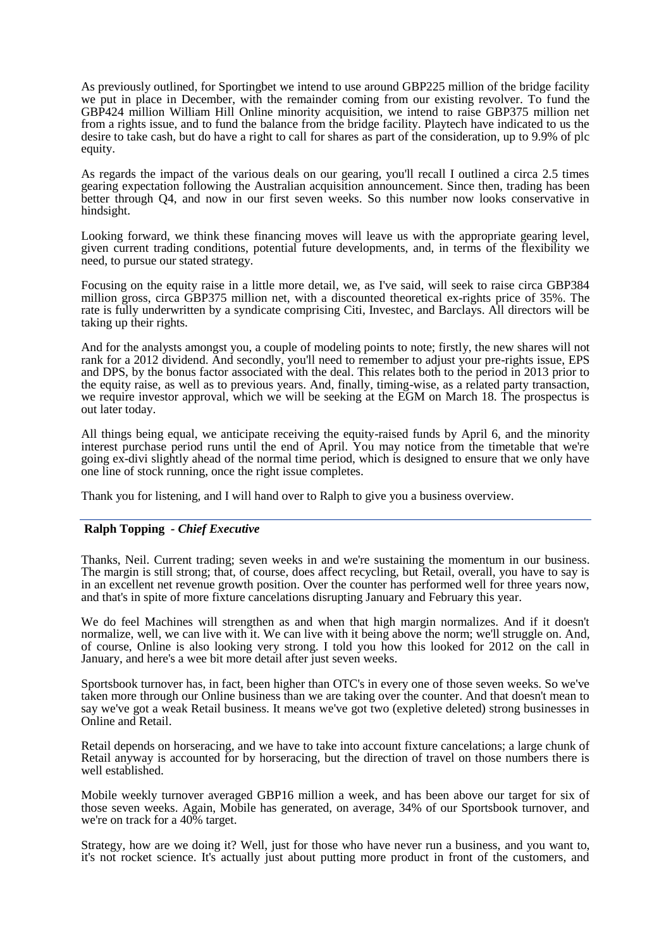As previously outlined, for Sportingbet we intend to use around GBP225 million of the bridge facility we put in place in December, with the remainder coming from our existing revolver. To fund the GBP424 million William Hill Online minority acquisition, we intend to raise GBP375 million net from a rights issue, and to fund the balance from the bridge facility. Playtech have indicated to us the desire to take cash, but do have a right to call for shares as part of the consideration, up to 9.9% of plc equity.

As regards the impact of the various deals on our gearing, you'll recall I outlined a circa 2.5 times gearing expectation following the Australian acquisition announcement. Since then, trading has been better through Q4, and now in our first seven weeks. So this number now looks conservative in hindsight.

Looking forward, we think these financing moves will leave us with the appropriate gearing level, given current trading conditions, potential future developments, and, in terms of the flexibility we need, to pursue our stated strategy.

Focusing on the equity raise in a little more detail, we, as I've said, will seek to raise circa GBP384 million gross, circa GBP375 million net, with a discounted theoretical ex-rights price of 35%. The rate is fully underwritten by a syndicate comprising Citi, Investec, and Barclays. All directors will be taking up their rights.

And for the analysts amongst you, a couple of modeling points to note; firstly, the new shares will not rank for a 2012 dividend. And secondly, you'll need to remember to adjust your pre-rights issue, EPS and DPS, by the bonus factor associated with the deal. This relates both to the period in 2013 prior to the equity raise, as well as to previous years. And, finally, timing-wise, as a related party transaction, we require investor approval, which we will be seeking at the EGM on March 18. The prospectus is out later today.

All things being equal, we anticipate receiving the equity-raised funds by April 6, and the minority interest purchase period runs until the end of April. You may notice from the timetable that we're going ex-divi slightly ahead of the normal time period, which is designed to ensure that we only have one line of stock running, once the right issue completes.

Thank you for listening, and I will hand over to Ralph to give you a business overview.

#### **Ralph Topping** *- Chief Executive*

Thanks, Neil. Current trading; seven weeks in and we're sustaining the momentum in our business. The margin is still strong; that, of course, does affect recycling, but Retail, overall, you have to say is in an excellent net revenue growth position. Over the counter has performed well for three years now, and that's in spite of more fixture cancelations disrupting January and February this year.

We do feel Machines will strengthen as and when that high margin normalizes. And if it doesn't normalize, well, we can live with it. We can live with it being above the norm; we'll struggle on. And, of course, Online is also looking very strong. I told you how this looked for 2012 on the call in January, and here's a wee bit more detail after just seven weeks.

Sportsbook turnover has, in fact, been higher than OTC's in every one of those seven weeks. So we've taken more through our Online business than we are taking over the counter. And that doesn't mean to say we've got a weak Retail business. It means we've got two (expletive deleted) strong businesses in Online and Retail.

Retail depends on horseracing, and we have to take into account fixture cancelations; a large chunk of Retail anyway is accounted for by horseracing, but the direction of travel on those numbers there is well established.

Mobile weekly turnover averaged GBP16 million a week, and has been above our target for six of those seven weeks. Again, Mobile has generated, on average, 34% of our Sportsbook turnover, and we're on track for a 40% target.

Strategy, how are we doing it? Well, just for those who have never run a business, and you want to, it's not rocket science. It's actually just about putting more product in front of the customers, and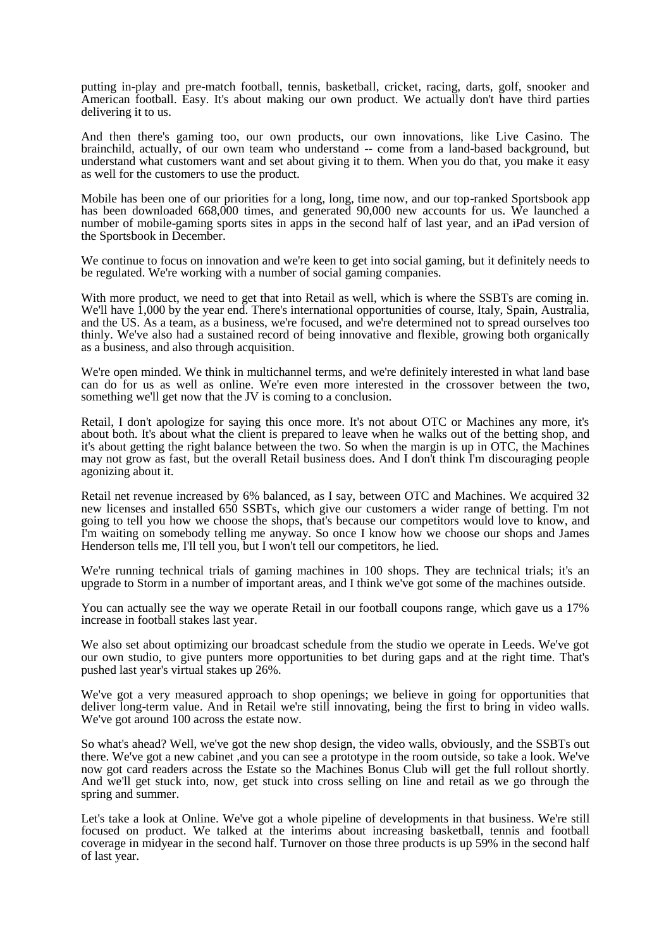putting in-play and pre-match football, tennis, basketball, cricket, racing, darts, golf, snooker and American football. Easy. It's about making our own product. We actually don't have third parties delivering it to us.

And then there's gaming too, our own products, our own innovations, like Live Casino. The brainchild, actually, of our own team who understand -- come from a land-based background, but understand what customers want and set about giving it to them. When you do that, you make it easy as well for the customers to use the product.

Mobile has been one of our priorities for a long, long, time now, and our top-ranked Sportsbook app has been downloaded 668,000 times, and generated 90,000 new accounts for us. We launched a number of mobile-gaming sports sites in apps in the second half of last year, and an iPad version of the Sportsbook in December.

We continue to focus on innovation and we're keen to get into social gaming, but it definitely needs to be regulated. We're working with a number of social gaming companies.

With more product, we need to get that into Retail as well, which is where the SSBTs are coming in. We'll have 1,000 by the year end. There's international opportunities of course, Italy, Spain, Australia, and the US. As a team, as a business, we're focused, and we're determined not to spread ourselves too thinly. We've also had a sustained record of being innovative and flexible, growing both organically as a business, and also through acquisition.

We're open minded. We think in multichannel terms, and we're definitely interested in what land base can do for us as well as online. We're even more interested in the crossover between the two, something we'll get now that the JV is coming to a conclusion.

Retail, I don't apologize for saying this once more. It's not about OTC or Machines any more, it's about both. It's about what the client is prepared to leave when he walks out of the betting shop, and it's about getting the right balance between the two. So when the margin is up in OTC, the Machines may not grow as fast, but the overall Retail business does. And I don't think I'm discouraging people agonizing about it.

Retail net revenue increased by 6% balanced, as I say, between OTC and Machines. We acquired 32 new licenses and installed 650 SSBTs, which give our customers a wider range of betting. I'm not going to tell you how we choose the shops, that's because our competitors would love to know, and I'm waiting on somebody telling me anyway. So once I know how we choose our shops and James Henderson tells me, I'll tell you, but I won't tell our competitors, he lied.

We're running technical trials of gaming machines in 100 shops. They are technical trials; it's an upgrade to Storm in a number of important areas, and I think we've got some of the machines outside.

You can actually see the way we operate Retail in our football coupons range, which gave us a 17% increase in football stakes last year.

We also set about optimizing our broadcast schedule from the studio we operate in Leeds. We've got our own studio, to give punters more opportunities to bet during gaps and at the right time. That's pushed last year's virtual stakes up 26%.

We've got a very measured approach to shop openings; we believe in going for opportunities that deliver long-term value. And in Retail we're still innovating, being the first to bring in video walls. We've got around 100 across the estate now.

So what's ahead? Well, we've got the new shop design, the video walls, obviously, and the SSBTs out there. We've got a new cabinet ,and you can see a prototype in the room outside, so take a look. We've now got card readers across the Estate so the Machines Bonus Club will get the full rollout shortly. And we'll get stuck into, now, get stuck into cross selling on line and retail as we go through the spring and summer.

Let's take a look at Online. We've got a whole pipeline of developments in that business. We're still focused on product. We talked at the interims about increasing basketball, tennis and football coverage in midyear in the second half. Turnover on those three products is up 59% in the second half of last year.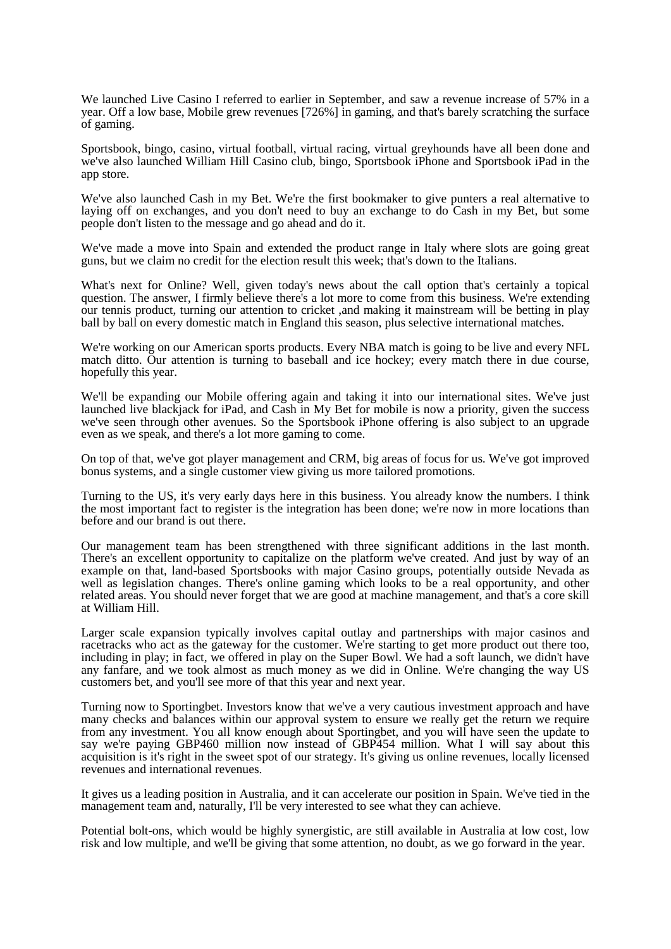We launched Live Casino I referred to earlier in September, and saw a revenue increase of 57% in a year. Off a low base, Mobile grew revenues [726%] in gaming, and that's barely scratching the surface of gaming.

Sportsbook, bingo, casino, virtual football, virtual racing, virtual greyhounds have all been done and we've also launched William Hill Casino club, bingo, Sportsbook iPhone and Sportsbook iPad in the app store.

We've also launched Cash in my Bet. We're the first bookmaker to give punters a real alternative to laying off on exchanges, and you don't need to buy an exchange to do Cash in my Bet, but some people don't listen to the message and go ahead and do it.

We've made a move into Spain and extended the product range in Italy where slots are going great guns, but we claim no credit for the election result this week; that's down to the Italians.

What's next for Online? Well, given today's news about the call option that's certainly a topical question. The answer, I firmly believe there's a lot more to come from this business. We're extending our tennis product, turning our attention to cricket ,and making it mainstream will be betting in play ball by ball on every domestic match in England this season, plus selective international matches.

We're working on our American sports products. Every NBA match is going to be live and every NFL match ditto. Our attention is turning to baseball and ice hockey; every match there in due course, hopefully this year.

We'll be expanding our Mobile offering again and taking it into our international sites. We've just launched live blackjack for iPad, and Cash in My Bet for mobile is now a priority, given the success we've seen through other avenues. So the Sportsbook iPhone offering is also subject to an upgrade even as we speak, and there's a lot more gaming to come.

On top of that, we've got player management and CRM, big areas of focus for us. We've got improved bonus systems, and a single customer view giving us more tailored promotions.

Turning to the US, it's very early days here in this business. You already know the numbers. I think the most important fact to register is the integration has been done; we're now in more locations than before and our brand is out there.

Our management team has been strengthened with three significant additions in the last month. There's an excellent opportunity to capitalize on the platform we've created. And just by way of an example on that, land-based Sportsbooks with major Casino groups, potentially outside Nevada as well as legislation changes. There's online gaming which looks to be a real opportunity, and other related areas. You should never forget that we are good at machine management, and that's a core skill at William Hill.

Larger scale expansion typically involves capital outlay and partnerships with major casinos and racetracks who act as the gateway for the customer. We're starting to get more product out there too, including in play; in fact, we offered in play on the Super Bowl. We had a soft launch, we didn't have any fanfare, and we took almost as much money as we did in Online. We're changing the way US customers bet, and you'll see more of that this year and next year.

Turning now to Sportingbet. Investors know that we've a very cautious investment approach and have many checks and balances within our approval system to ensure we really get the return we require from any investment. You all know enough about Sportingbet, and you will have seen the update to say we're paying GBP460 million now instead of GBP454 million. What I will say about this acquisition is it's right in the sweet spot of our strategy. It's giving us online revenues, locally licensed revenues and international revenues.

It gives us a leading position in Australia, and it can accelerate our position in Spain. We've tied in the management team and, naturally, I'll be very interested to see what they can achieve.

Potential bolt-ons, which would be highly synergistic, are still available in Australia at low cost, low risk and low multiple, and we'll be giving that some attention, no doubt, as we go forward in the year.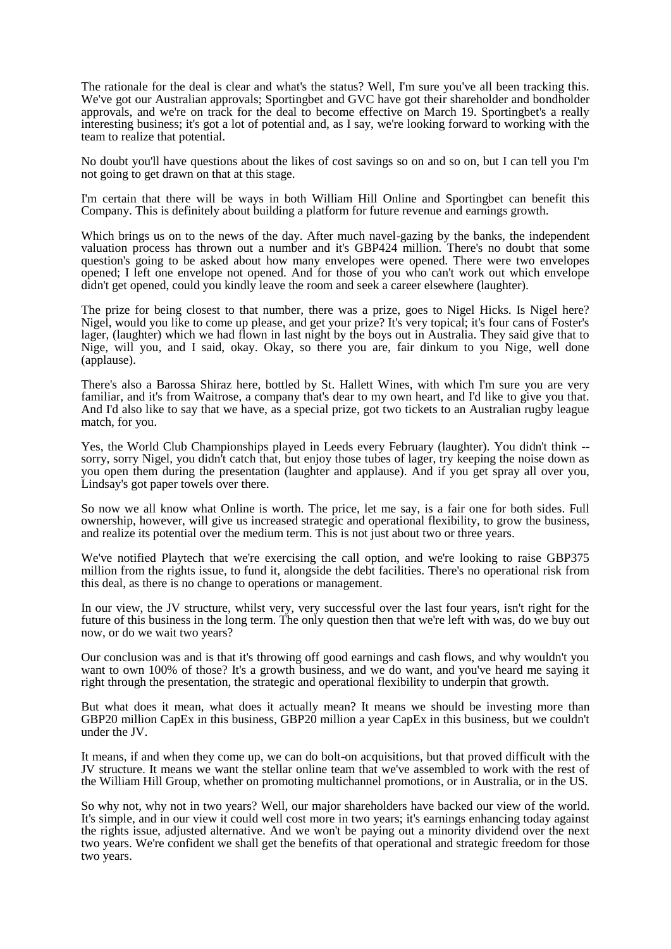The rationale for the deal is clear and what's the status? Well, I'm sure you've all been tracking this. We've got our Australian approvals; Sportingbet and GVC have got their shareholder and bondholder approvals, and we're on track for the deal to become effective on March 19. Sportingbet's a really interesting business; it's got a lot of potential and, as I say, we're looking forward to working with the team to realize that potential.

No doubt you'll have questions about the likes of cost savings so on and so on, but I can tell you I'm not going to get drawn on that at this stage.

I'm certain that there will be ways in both William Hill Online and Sportingbet can benefit this Company. This is definitely about building a platform for future revenue and earnings growth.

Which brings us on to the news of the day. After much navel-gazing by the banks, the independent valuation process has thrown out a number and it's GBP424 million. There's no doubt that some question's going to be asked about how many envelopes were opened. There were two envelopes opened; I left one envelope not opened. And for those of you who can't work out which envelope didn't get opened, could you kindly leave the room and seek a career elsewhere (laughter).

The prize for being closest to that number, there was a prize, goes to Nigel Hicks. Is Nigel here? Nigel, would you like to come up please, and get your prize? It's very topical; it's four cans of Foster's lager, (laughter) which we had flown in last night by the boys out in Australia. They said give that to Nige, will you, and I said, okay. Okay, so there you are, fair dinkum to you Nige, well done (applause).

There's also a Barossa Shiraz here, bottled by St. Hallett Wines, with which I'm sure you are very familiar, and it's from Waitrose, a company that's dear to my own heart, and I'd like to give you that. And I'd also like to say that we have, as a special prize, got two tickets to an Australian rugby league match, for you.

Yes, the World Club Championships played in Leeds every February (laughter). You didn't think - sorry, sorry Nigel, you didn't catch that, but enjoy those tubes of lager, try keeping the noise down as you open them during the presentation (laughter and applause). And if you get spray all over you, Lindsay's got paper towels over there.

So now we all know what Online is worth. The price, let me say, is a fair one for both sides. Full ownership, however, will give us increased strategic and operational flexibility, to grow the business, and realize its potential over the medium term. This is not just about two or three years.

We've notified Playtech that we're exercising the call option, and we're looking to raise GBP375 million from the rights issue, to fund it, alongside the debt facilities. There's no operational risk from this deal, as there is no change to operations or management.

In our view, the JV structure, whilst very, very successful over the last four years, isn't right for the future of this business in the long term. The only question then that we're left with was, do we buy out now, or do we wait two years?

Our conclusion was and is that it's throwing off good earnings and cash flows, and why wouldn't you want to own 100% of those? It's a growth business, and we do want, and you've heard me saying it right through the presentation, the strategic and operational flexibility to underpin that growth.

But what does it mean, what does it actually mean? It means we should be investing more than GBP20 million CapEx in this business, GBP20 million a year CapEx in this business, but we couldn't under the JV.

It means, if and when they come up, we can do bolt-on acquisitions, but that proved difficult with the JV structure. It means we want the stellar online team that we've assembled to work with the rest of the William Hill Group, whether on promoting multichannel promotions, or in Australia, or in the US.

So why not, why not in two years? Well, our major shareholders have backed our view of the world. It's simple, and in our view it could well cost more in two years; it's earnings enhancing today against the rights issue, adjusted alternative. And we won't be paying out a minority dividend over the next two years. We're confident we shall get the benefits of that operational and strategic freedom for those two years.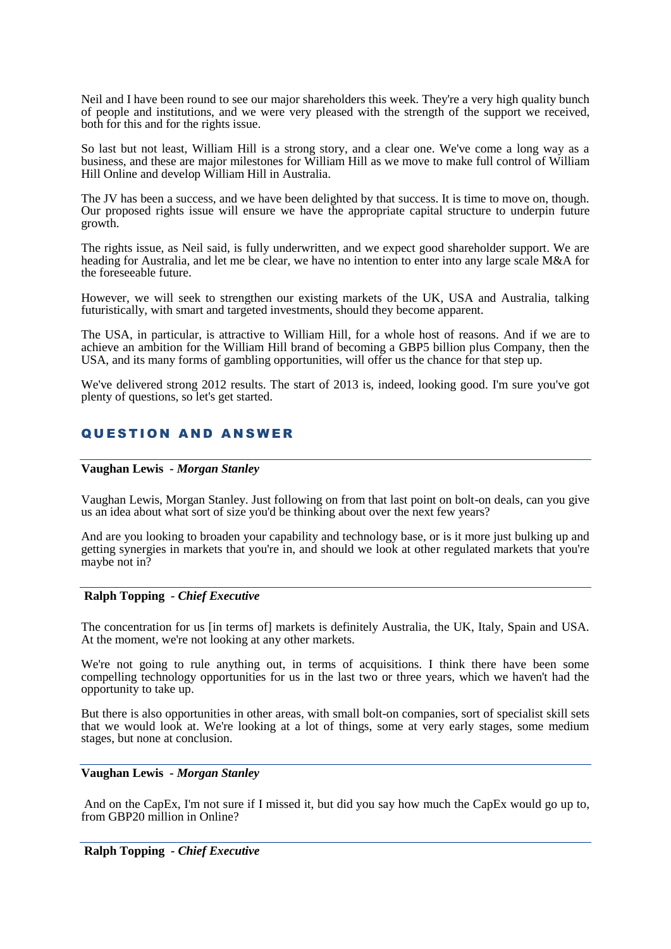Neil and I have been round to see our major shareholders this week. They're a very high quality bunch of people and institutions, and we were very pleased with the strength of the support we received, both for this and for the rights issue.

So last but not least, William Hill is a strong story, and a clear one. We've come a long way as a business, and these are major milestones for William Hill as we move to make full control of William Hill Online and develop William Hill in Australia.

The JV has been a success, and we have been delighted by that success. It is time to move on, though. Our proposed rights issue will ensure we have the appropriate capital structure to underpin future growth.

The rights issue, as Neil said, is fully underwritten, and we expect good shareholder support. We are heading for Australia, and let me be clear, we have no intention to enter into any large scale M&A for the foreseeable future.

However, we will seek to strengthen our existing markets of the UK, USA and Australia, talking futuristically, with smart and targeted investments, should they become apparent.

The USA, in particular, is attractive to William Hill, for a whole host of reasons. And if we are to achieve an ambition for the William Hill brand of becoming a GBP5 billion plus Company, then the USA, and its many forms of gambling opportunities, will offer us the chance for that step up.

We've delivered strong 2012 results. The start of 2013 is, indeed, looking good. I'm sure you've got plenty of questions, so let's get started.

## **QUESTION AND ANSWER**

#### **Vaughan Lewis** *- Morgan Stanley*

Vaughan Lewis, Morgan Stanley. Just following on from that last point on bolt-on deals, can you give us an idea about what sort of size you'd be thinking about over the next few years?

And are you looking to broaden your capability and technology base, or is it more just bulking up and getting synergies in markets that you're in, and should we look at other regulated markets that you're maybe not in?

#### **Ralph Topping** *- Chief Executive*

The concentration for us [in terms of] markets is definitely Australia, the UK, Italy, Spain and USA. At the moment, we're not looking at any other markets.

We're not going to rule anything out, in terms of acquisitions. I think there have been some compelling technology opportunities for us in the last two or three years, which we haven't had the opportunity to take up.

But there is also opportunities in other areas, with small bolt-on companies, sort of specialist skill sets that we would look at. We're looking at a lot of things, some at very early stages, some medium stages, but none at conclusion.

#### **Vaughan Lewis** *- Morgan Stanley*

And on the CapEx, I'm not sure if I missed it, but did you say how much the CapEx would go up to, from GBP20 million in Online?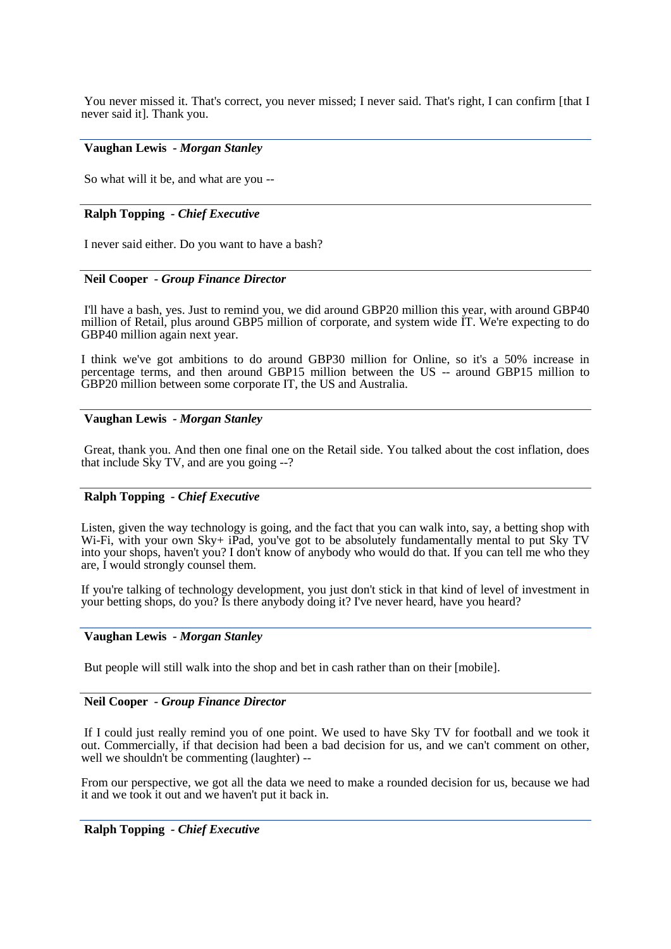You never missed it. That's correct, you never missed; I never said. That's right, I can confirm [that I] never said it]. Thank you.

## **Vaughan Lewis** *- Morgan Stanley*

So what will it be, and what are you --

## **Ralph Topping** *- Chief Executive*

I never said either. Do you want to have a bash?

## **Neil Cooper** *- Group Finance Director*

I'll have a bash, yes. Just to remind you, we did around GBP20 million this year, with around GBP40 million of Retail, plus around GBP5 million of corporate, and system wide IT. We're expecting to do GBP40 million again next year.

I think we've got ambitions to do around GBP30 million for Online, so it's a 50% increase in percentage terms, and then around GBP15 million between the US -- around GBP15 million to GBP20 million between some corporate IT, the US and Australia.

## **Vaughan Lewis** *- Morgan Stanley*

Great, thank you. And then one final one on the Retail side. You talked about the cost inflation, does that include Sky TV, and are you going --?

## **Ralph Topping** *- Chief Executive*

Listen, given the way technology is going, and the fact that you can walk into, say, a betting shop with Wi-Fi, with your own Sky+ iPad, you've got to be absolutely fundamentally mental to put Sky TV into your shops, haven't you? I don't know of anybody who would do that. If you can tell me who they are, I would strongly counsel them.

If you're talking of technology development, you just don't stick in that kind of level of investment in your betting shops, do you? Is there anybody doing it? I've never heard, have you heard?

## **Vaughan Lewis** *- Morgan Stanley*

But people will still walk into the shop and bet in cash rather than on their [mobile].

#### **Neil Cooper** *- Group Finance Director*

If I could just really remind you of one point. We used to have Sky TV for football and we took it out. Commercially, if that decision had been a bad decision for us, and we can't comment on other, well we shouldn't be commenting (laughter) --

From our perspective, we got all the data we need to make a rounded decision for us, because we had it and we took it out and we haven't put it back in.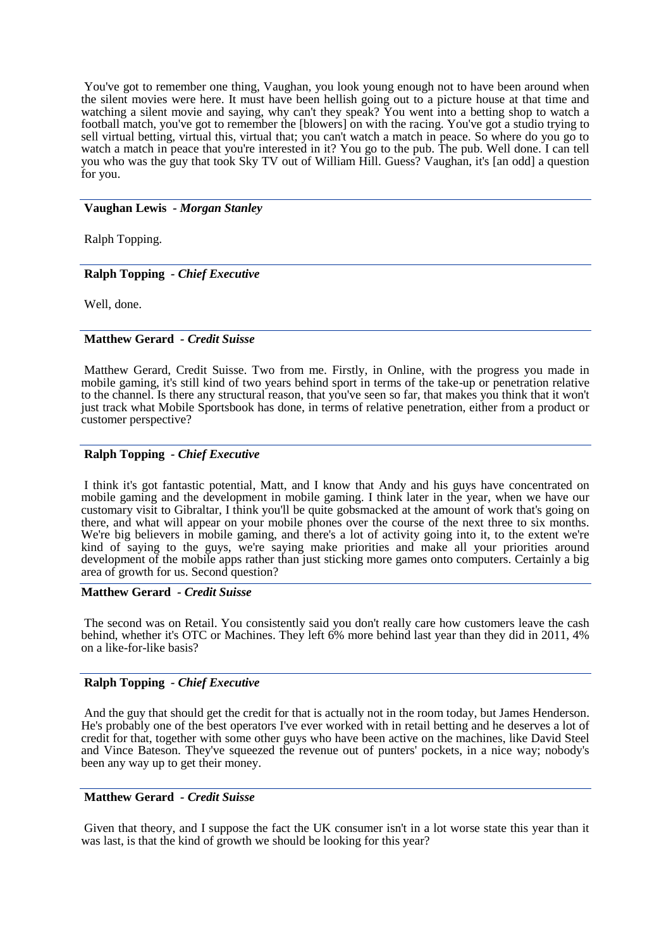You've got to remember one thing, Vaughan, you look young enough not to have been around when the silent movies were here. It must have been hellish going out to a picture house at that time and watching a silent movie and saying, why can't they speak? You went into a betting shop to watch a football match, you've got to remember the [blowers] on with the racing. You've got a studio trying to sell virtual betting, virtual this, virtual that; you can't watch a match in peace. So where do you go to watch a match in peace that you're interested in it? You go to the pub. The pub. Well done. I can tell you who was the guy that took Sky TV out of William Hill. Guess? Vaughan, it's [an odd] a question for you.

#### **Vaughan Lewis** *- Morgan Stanley*

Ralph Topping.

#### **Ralph Topping** *- Chief Executive*

Well, done.

## **Matthew Gerard** *- Credit Suisse*

Matthew Gerard, Credit Suisse. Two from me. Firstly, in Online, with the progress you made in mobile gaming, it's still kind of two years behind sport in terms of the take-up or penetration relative to the channel. Is there any structural reason, that you've seen so far, that makes you think that it won't just track what Mobile Sportsbook has done, in terms of relative penetration, either from a product or customer perspective?

### **Ralph Topping** *- Chief Executive*

I think it's got fantastic potential, Matt, and I know that Andy and his guys have concentrated on mobile gaming and the development in mobile gaming. I think later in the year, when we have our customary visit to Gibraltar, I think you'll be quite gobsmacked at the amount of work that's going on there, and what will appear on your mobile phones over the course of the next three to six months. We're big believers in mobile gaming, and there's a lot of activity going into it, to the extent we're kind of saying to the guys, we're saying make priorities and make all your priorities around development of the mobile apps rather than just sticking more games onto computers. Certainly a big area of growth for us. Second question?

#### **Matthew Gerard** *- Credit Suisse*

The second was on Retail. You consistently said you don't really care how customers leave the cash behind, whether it's OTC or Machines. They left 6% more behind last year than they did in 2011, 4% on a like-for-like basis?

#### **Ralph Topping** *- Chief Executive*

And the guy that should get the credit for that is actually not in the room today, but James Henderson. He's probably one of the best operators I've ever worked with in retail betting and he deserves a lot of credit for that, together with some other guys who have been active on the machines, like David Steel and Vince Bateson. They've squeezed the revenue out of punters' pockets, in a nice way; nobody's been any way up to get their money.

#### **Matthew Gerard** *- Credit Suisse*

Given that theory, and I suppose the fact the UK consumer isn't in a lot worse state this year than it was last, is that the kind of growth we should be looking for this year?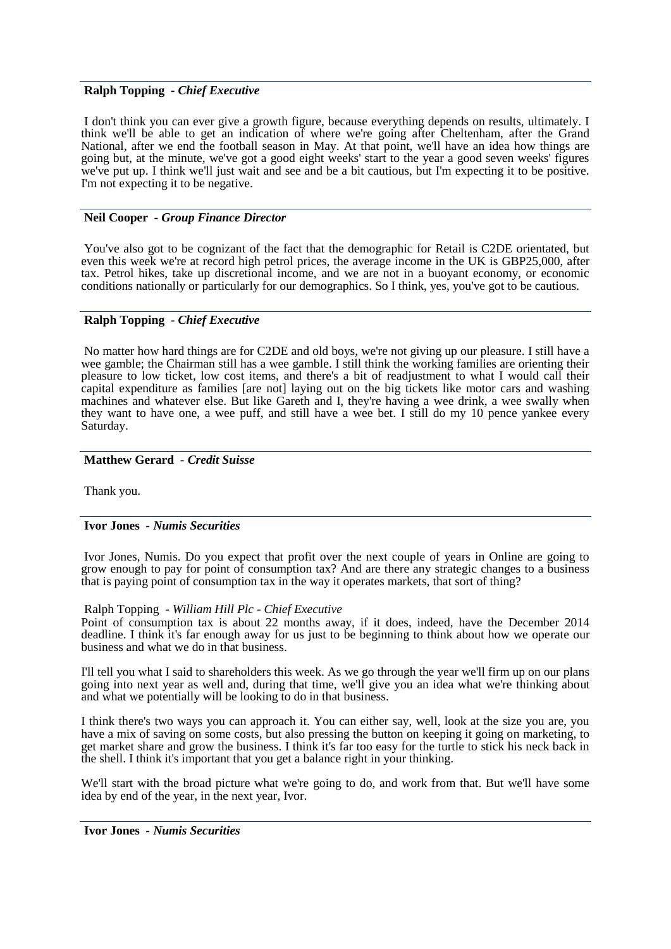### **Ralph Topping** *- Chief Executive*

I don't think you can ever give a growth figure, because everything depends on results, ultimately. I think we'll be able to get an indication of where we're going after Cheltenham, after the Grand National, after we end the football season in May. At that point, we'll have an idea how things are going but, at the minute, we've got a good eight weeks' start to the year a good seven weeks' figures we've put up. I think we'll just wait and see and be a bit cautious, but I'm expecting it to be positive. I'm not expecting it to be negative.

### **Neil Cooper** *- Group Finance Director*

You've also got to be cognizant of the fact that the demographic for Retail is C2DE orientated, but even this week we're at record high petrol prices, the average income in the UK is GBP25,000, after tax. Petrol hikes, take up discretional income, and we are not in a buoyant economy, or economic conditions nationally or particularly for our demographics. So I think, yes, you've got to be cautious.

## **Ralph Topping** *- Chief Executive*

No matter how hard things are for C2DE and old boys, we're not giving up our pleasure. I still have a wee gamble; the Chairman still has a wee gamble. I still think the working families are orienting their pleasure to low ticket, low cost items, and there's a bit of readjustment to what I would call their capital expenditure as families [are not] laying out on the big tickets like motor cars and washing machines and whatever else. But like Gareth and I, they're having a wee drink, a wee swally when they want to have one, a wee puff, and still have a wee bet. I still do my 10 pence yankee every Saturday.

## **Matthew Gerard** *- Credit Suisse*

Thank you.

#### **Ivor Jones** *- Numis Securities*

Ivor Jones, Numis. Do you expect that profit over the next couple of years in Online are going to grow enough to pay for point of consumption tax? And are there any strategic changes to a business that is paying point of consumption tax in the way it operates markets, that sort of thing?

#### Ralph Topping *- William Hill Plc - Chief Executive*

Point of consumption tax is about 22 months away, if it does, indeed, have the December 2014 deadline. I think it's far enough away for us just to be beginning to think about how we operate our business and what we do in that business.

I'll tell you what I said to shareholders this week. As we go through the year we'll firm up on our plans going into next year as well and, during that time, we'll give you an idea what we're thinking about and what we potentially will be looking to do in that business.

I think there's two ways you can approach it. You can either say, well, look at the size you are, you have a mix of saving on some costs, but also pressing the button on keeping it going on marketing, to get market share and grow the business. I think it's far too easy for the turtle to stick his neck back in the shell. I think it's important that you get a balance right in your thinking.

We'll start with the broad picture what we're going to do, and work from that. But we'll have some idea by end of the year, in the next year, Ivor.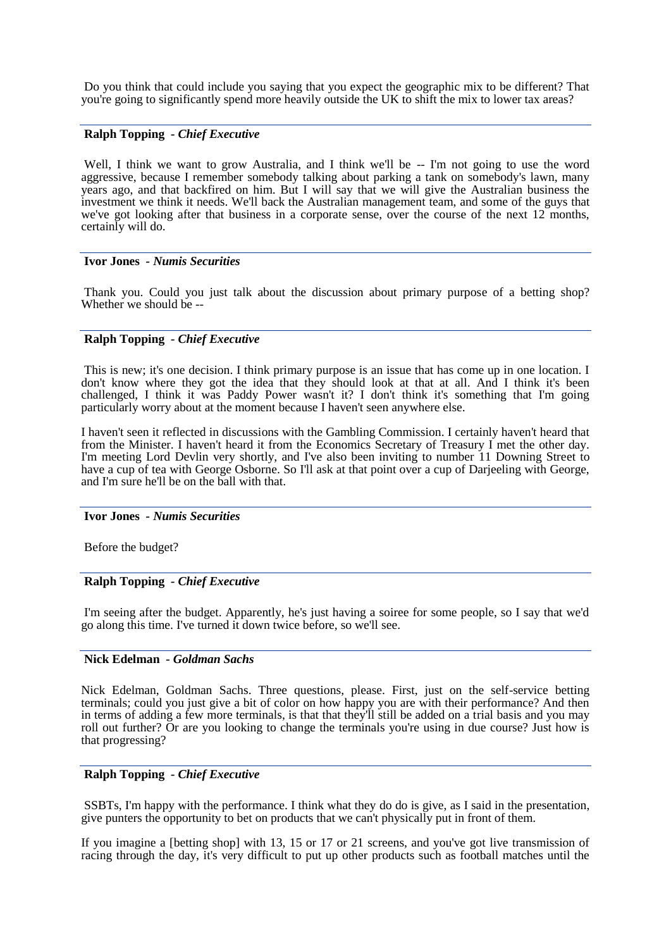Do you think that could include you saying that you expect the geographic mix to be different? That you're going to significantly spend more heavily outside the UK to shift the mix to lower tax areas?

## **Ralph Topping** *- Chief Executive*

Well, I think we want to grow Australia, and I think we'll be -- I'm not going to use the word aggressive, because I remember somebody talking about parking a tank on somebody's lawn, many years ago, and that backfired on him. But I will say that we will give the Australian business the investment we think it needs. We'll back the Australian management team, and some of the guys that we've got looking after that business in a corporate sense, over the course of the next 12 months, certainly will do.

#### **Ivor Jones** *- Numis Securities*

Thank you. Could you just talk about the discussion about primary purpose of a betting shop? Whether we should be --

## **Ralph Topping** *- Chief Executive*

This is new; it's one decision. I think primary purpose is an issue that has come up in one location. I don't know where they got the idea that they should look at that at all. And I think it's been challenged, I think it was Paddy Power wasn't it? I don't think it's something that I'm going particularly worry about at the moment because I haven't seen anywhere else.

I haven't seen it reflected in discussions with the Gambling Commission. I certainly haven't heard that from the Minister. I haven't heard it from the Economics Secretary of Treasury I met the other day. I'm meeting Lord Devlin very shortly, and I've also been inviting to number 11 Downing Street to have a cup of tea with George Osborne. So I'll ask at that point over a cup of Darjeeling with George, and I'm sure he'll be on the ball with that.

#### **Ivor Jones** *- Numis Securities*

Before the budget?

#### **Ralph Topping** *- Chief Executive*

I'm seeing after the budget. Apparently, he's just having a soiree for some people, so I say that we'd go along this time. I've turned it down twice before, so we'll see.

## **Nick Edelman** *- Goldman Sachs*

Nick Edelman, Goldman Sachs. Three questions, please. First, just on the self-service betting terminals; could you just give a bit of color on how happy you are with their performance? And then in terms of adding a few more terminals, is that that they'll still be added on a trial basis and you may roll out further? Or are you looking to change the terminals you're using in due course? Just how is that progressing?

## **Ralph Topping** *- Chief Executive*

SSBTs, I'm happy with the performance. I think what they do do is give, as I said in the presentation, give punters the opportunity to bet on products that we can't physically put in front of them.

If you imagine a [betting shop] with 13, 15 or 17 or 21 screens, and you've got live transmission of racing through the day, it's very difficult to put up other products such as football matches until the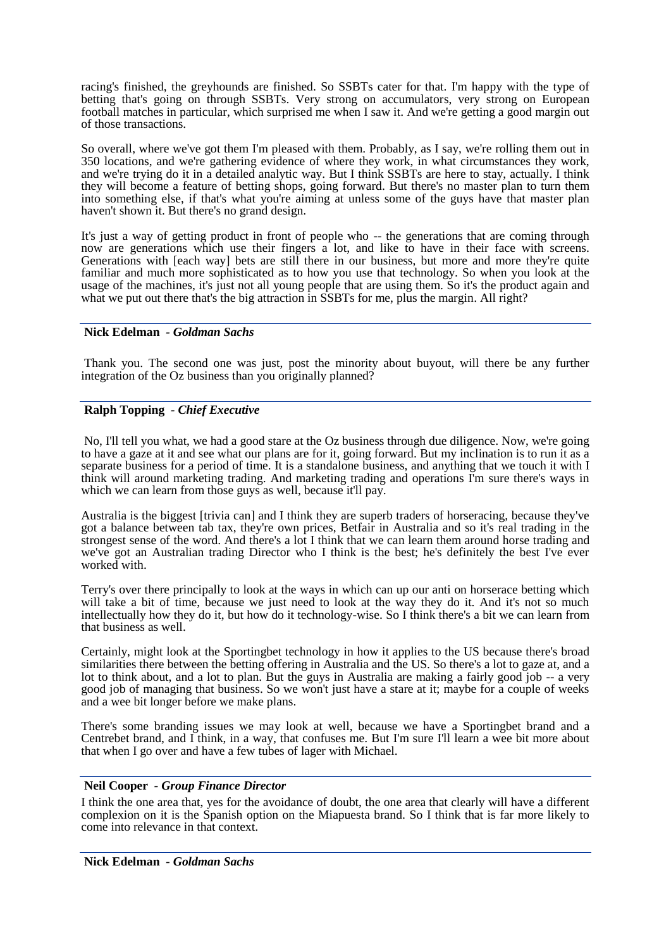racing's finished, the greyhounds are finished. So SSBTs cater for that. I'm happy with the type of betting that's going on through SSBTs. Very strong on accumulators, very strong on European football matches in particular, which surprised me when I saw it. And we're getting a good margin out of those transactions.

So overall, where we've got them I'm pleased with them. Probably, as I say, we're rolling them out in 350 locations, and we're gathering evidence of where they work, in what circumstances they work, and we're trying do it in a detailed analytic way. But I think SSBTs are here to stay, actually. I think they will become a feature of betting shops, going forward. But there's no master plan to turn them into something else, if that's what you're aiming at unless some of the guys have that master plan haven't shown it. But there's no grand design.

It's just a way of getting product in front of people who -- the generations that are coming through now are generations which use their fingers a lot, and like to have in their face with screens. Generations with [each way] bets are still there in our business, but more and more they're quite familiar and much more sophisticated as to how you use that technology. So when you look at the usage of the machines, it's just not all young people that are using them. So it's the product again and what we put out there that's the big attraction in SSBTs for me, plus the margin. All right?

## **Nick Edelman** *- Goldman Sachs*

Thank you. The second one was just, post the minority about buyout, will there be any further integration of the Oz business than you originally planned?

## **Ralph Topping** *- Chief Executive*

No, I'll tell you what, we had a good stare at the Oz business through due diligence. Now, we're going to have a gaze at it and see what our plans are for it, going forward. But my inclination is to run it as a separate business for a period of time. It is a standalone business, and anything that we touch it with I think will around marketing trading. And marketing trading and operations I'm sure there's ways in which we can learn from those guys as well, because it'll pay.

Australia is the biggest [trivia can] and I think they are superb traders of horseracing, because they've got a balance between tab tax, they're own prices, Betfair in Australia and so it's real trading in the strongest sense of the word. And there's a lot I think that we can learn them around horse trading and we've got an Australian trading Director who I think is the best; he's definitely the best I've ever worked with.

Terry's over there principally to look at the ways in which can up our anti on horserace betting which will take a bit of time, because we just need to look at the way they do it. And it's not so much intellectually how they do it, but how do it technology-wise. So I think there's a bit we can learn from that business as well.

Certainly, might look at the Sportingbet technology in how it applies to the US because there's broad similarities there between the betting offering in Australia and the US. So there's a lot to gaze at, and a lot to think about, and a lot to plan. But the guys in Australia are making a fairly good job -- a very good job of managing that business. So we won't just have a stare at it; maybe for a couple of weeks and a wee bit longer before we make plans.

There's some branding issues we may look at well, because we have a Sportingbet brand and a Centrebet brand, and I think, in a way, that confuses me. But I'm sure I'll learn a wee bit more about that when I go over and have a few tubes of lager with Michael.

#### **Neil Cooper** *- Group Finance Director*

I think the one area that, yes for the avoidance of doubt, the one area that clearly will have a different complexion on it is the Spanish option on the Miapuesta brand. So I think that is far more likely to come into relevance in that context.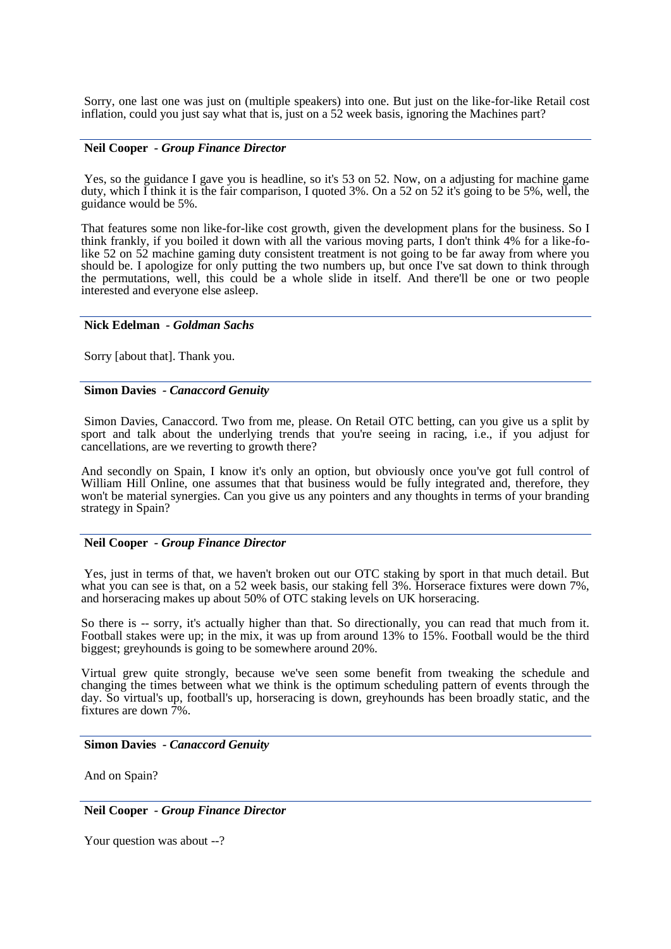Sorry, one last one was just on (multiple speakers) into one. But just on the like-for-like Retail cost inflation, could you just say what that is, just on a 52 week basis, ignoring the Machines part?

#### **Neil Cooper** *- Group Finance Director*

Yes, so the guidance I gave you is headline, so it's 53 on 52. Now, on a adjusting for machine game duty, which I think it is the fair comparison, I quoted 3%. On a 52 on 52 it's going to be 5%, well, the guidance would be 5%.

That features some non like-for-like cost growth, given the development plans for the business. So I think frankly, if you boiled it down with all the various moving parts, I don't think 4% for a like-folike 52 on 52 machine gaming duty consistent treatment is not going to be far away from where you should be. I apologize for only putting the two numbers up, but once I've sat down to think through the permutations, well, this could be a whole slide in itself. And there'll be one or two people interested and everyone else asleep.

#### **Nick Edelman** *- Goldman Sachs*

Sorry [about that]. Thank you.

#### **Simon Davies** *- Canaccord Genuity*

Simon Davies, Canaccord. Two from me, please. On Retail OTC betting, can you give us a split by sport and talk about the underlying trends that you're seeing in racing, i.e., if you adjust for cancellations, are we reverting to growth there?

And secondly on Spain, I know it's only an option, but obviously once you've got full control of William Hill Online, one assumes that that business would be fully integrated and, therefore, they won't be material synergies. Can you give us any pointers and any thoughts in terms of your branding strategy in Spain?

#### **Neil Cooper** *- Group Finance Director*

Yes, just in terms of that, we haven't broken out our OTC staking by sport in that much detail. But what you can see is that, on a 52 week basis, our staking fell 3%. Horserace fixtures were down 7%, and horseracing makes up about 50% of OTC staking levels on UK horseracing.

So there is -- sorry, it's actually higher than that. So directionally, you can read that much from it. Football stakes were up; in the mix, it was up from around 13% to 15%. Football would be the third biggest; greyhounds is going to be somewhere around 20%.

Virtual grew quite strongly, because we've seen some benefit from tweaking the schedule and changing the times between what we think is the optimum scheduling pattern of events through the day. So virtual's up, football's up, horseracing is down, greyhounds has been broadly static, and the fixtures are down 7%.

#### **Simon Davies** *- Canaccord Genuity*

And on Spain?

**Neil Cooper** *- Group Finance Director*

Your question was about --?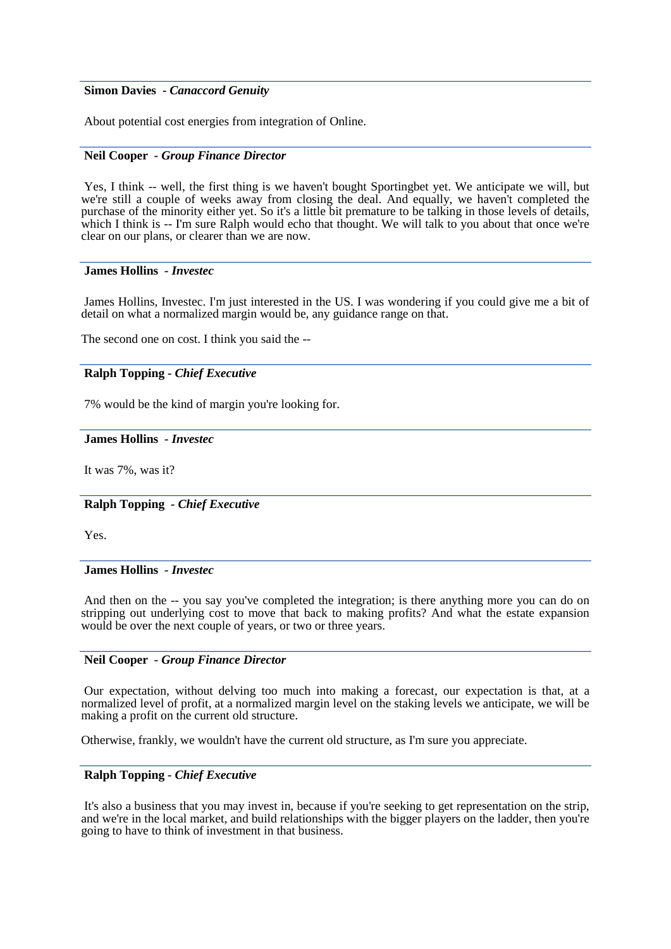### **Simon Davies** *- Canaccord Genuity*

About potential cost energies from integration of Online.

#### **Neil Cooper** *- Group Finance Director*

Yes, I think -- well, the first thing is we haven't bought Sportingbet yet. We anticipate we will, but we're still a couple of weeks away from closing the deal. And equally, we haven't completed the purchase of the minority either yet. So it's a little bit premature to be talking in those levels of details, which I think is -- I'm sure Ralph would echo that thought. We will talk to you about that once we're clear on our plans, or clearer than we are now.

### **James Hollins** *- Investec*

James Hollins, Investec. I'm just interested in the US. I was wondering if you could give me a bit of detail on what a normalized margin would be, any guidance range on that.

The second one on cost. I think you said the --

## **Ralph Topping** *- Chief Executive*

7% would be the kind of margin you're looking for.

### **James Hollins** *- Investec*

It was 7%, was it?

#### **Ralph Topping** *- Chief Executive*

Yes.

#### **James Hollins** *- Investec*

And then on the -- you say you've completed the integration; is there anything more you can do on stripping out underlying cost to move that back to making profits? And what the estate expansion would be over the next couple of years, or two or three years.

## **Neil Cooper** *- Group Finance Director*

Our expectation, without delving too much into making a forecast, our expectation is that, at a normalized level of profit, at a normalized margin level on the staking levels we anticipate, we will be making a profit on the current old structure.

Otherwise, frankly, we wouldn't have the current old structure, as I'm sure you appreciate.

## **Ralph Topping** *- Chief Executive*

It's also a business that you may invest in, because if you're seeking to get representation on the strip, and we're in the local market, and build relationships with the bigger players on the ladder, then you're going to have to think of investment in that business.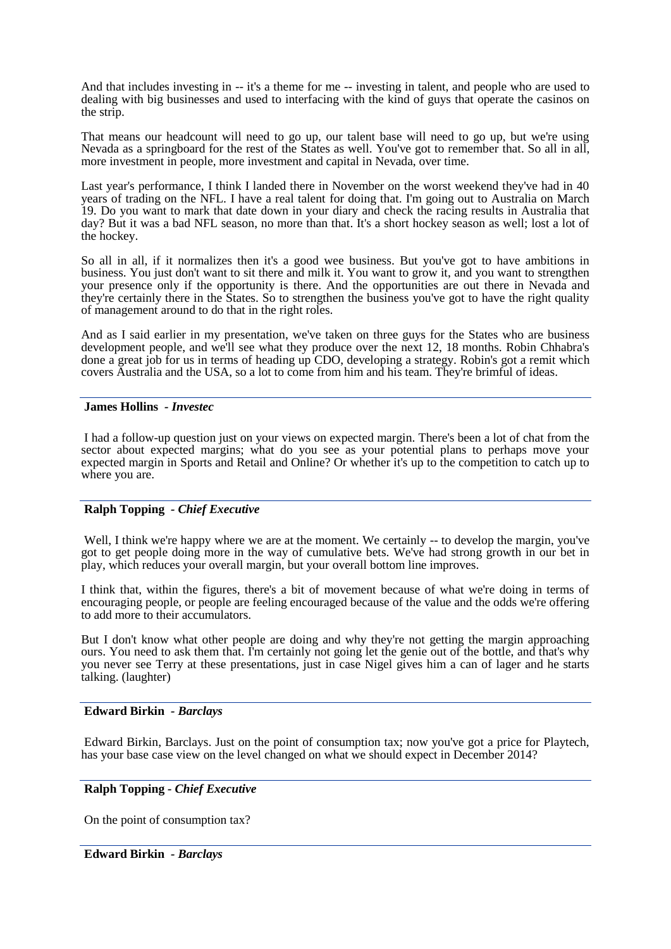And that includes investing in -- it's a theme for me -- investing in talent, and people who are used to dealing with big businesses and used to interfacing with the kind of guys that operate the casinos on the strip.

That means our headcount will need to go up, our talent base will need to go up, but we're using Nevada as a springboard for the rest of the States as well. You've got to remember that. So all in all, more investment in people, more investment and capital in Nevada, over time.

Last year's performance, I think I landed there in November on the worst weekend they've had in 40 years of trading on the NFL. I have a real talent for doing that. I'm going out to Australia on March 19. Do you want to mark that date down in your diary and check the racing results in Australia that day? But it was a bad NFL season, no more than that. It's a short hockey season as well; lost a lot of the hockey.

So all in all, if it normalizes then it's a good wee business. But you've got to have ambitions in business. You just don't want to sit there and milk it. You want to grow it, and you want to strengthen your presence only if the opportunity is there. And the opportunities are out there in Nevada and they're certainly there in the States. So to strengthen the business you've got to have the right quality of management around to do that in the right roles.

And as I said earlier in my presentation, we've taken on three guys for the States who are business development people, and we'll see what they produce over the next 12, 18 months. Robin Chhabra's done a great job for us in terms of heading up CDO, developing a strategy. Robin's got a remit which covers Australia and the USA, so a lot to come from him and his team. They're brimful of ideas.

## **James Hollins** *- Investec*

I had a follow-up question just on your views on expected margin. There's been a lot of chat from the sector about expected margins; what do you see as your potential plans to perhaps move your expected margin in Sports and Retail and Online? Or whether it's up to the competition to catch up to where you are.

#### **Ralph Topping** *- Chief Executive*

Well, I think we're happy where we are at the moment. We certainly -- to develop the margin, you've got to get people doing more in the way of cumulative bets. We've had strong growth in our bet in play, which reduces your overall margin, but your overall bottom line improves.

I think that, within the figures, there's a bit of movement because of what we're doing in terms of encouraging people, or people are feeling encouraged because of the value and the odds we're offering to add more to their accumulators.

But I don't know what other people are doing and why they're not getting the margin approaching ours. You need to ask them that. I'm certainly not going let the genie out of the bottle, and that's why you never see Terry at these presentations, just in case Nigel gives him a can of lager and he starts talking. (laughter)

#### **Edward Birkin** *- Barclays*

Edward Birkin, Barclays. Just on the point of consumption tax; now you've got a price for Playtech, has your base case view on the level changed on what we should expect in December 2014?

#### **Ralph Topping** *- Chief Executive*

On the point of consumption tax?

#### **Edward Birkin** *- Barclays*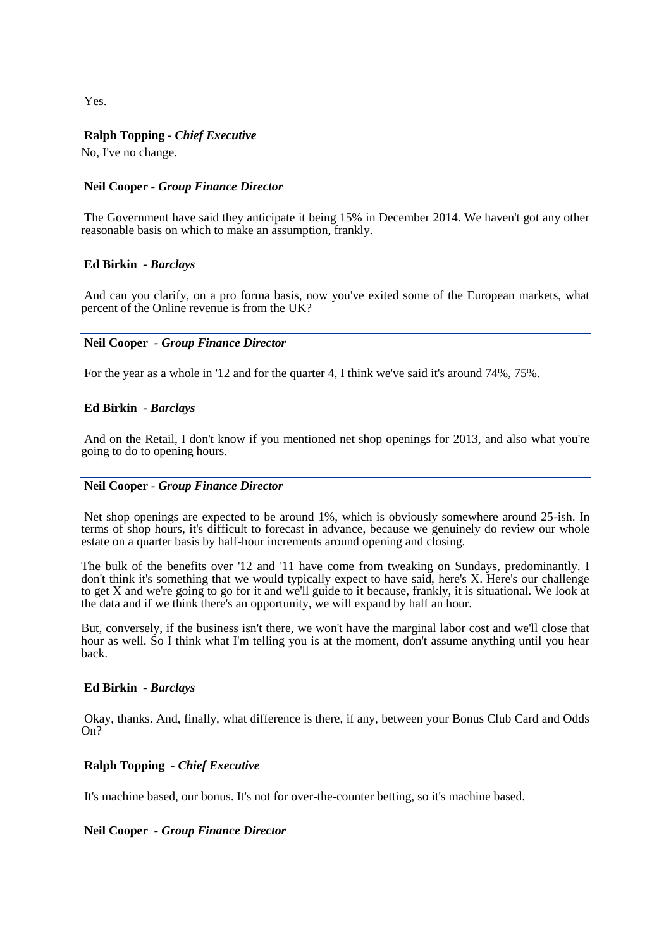Yes.

## **Ralph Topping** *- Chief Executive*

No, I've no change.

## **Neil Cooper** *- Group Finance Director*

The Government have said they anticipate it being 15% in December 2014. We haven't got any other reasonable basis on which to make an assumption, frankly.

#### **Ed Birkin** *- Barclays*

And can you clarify, on a pro forma basis, now you've exited some of the European markets, what percent of the Online revenue is from the UK?

## **Neil Cooper** *- Group Finance Director*

For the year as a whole in '12 and for the quarter 4, I think we've said it's around 74%, 75%.

#### **Ed Birkin** *- Barclays*

And on the Retail, I don't know if you mentioned net shop openings for 2013, and also what you're going to do to opening hours.

## **Neil Cooper -** *Group Finance Director*

Net shop openings are expected to be around 1%, which is obviously somewhere around 25-ish. In terms of shop hours, it's difficult to forecast in advance, because we genuinely do review our whole estate on a quarter basis by half-hour increments around opening and closing.

The bulk of the benefits over '12 and '11 have come from tweaking on Sundays, predominantly. I don't think it's something that we would typically expect to have said, here's X. Here's our challenge to get X and we're going to go for it and we'll guide to it because, frankly, it is situational. We look at the data and if we think there's an opportunity, we will expand by half an hour.

But, conversely, if the business isn't there, we won't have the marginal labor cost and we'll close that hour as well. So I think what I'm telling you is at the moment, don't assume anything until you hear back.

#### **Ed Birkin** *- Barclays*

Okay, thanks. And, finally, what difference is there, if any, between your Bonus Club Card and Odds On?

### **Ralph Topping** *- Chief Executive*

It's machine based, our bonus. It's not for over-the-counter betting, so it's machine based.

**Neil Cooper** *- Group Finance Director*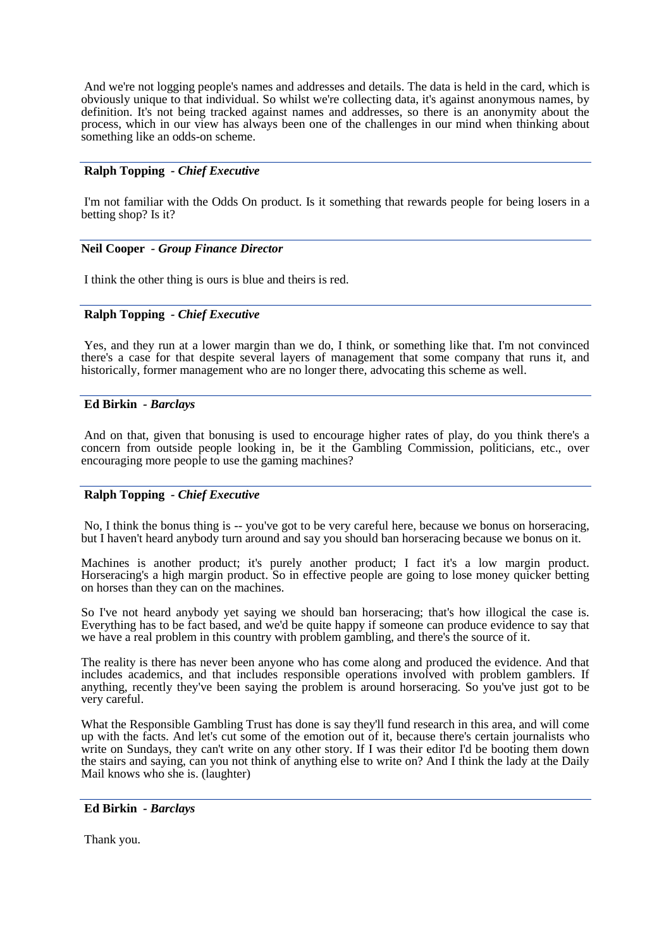And we're not logging people's names and addresses and details. The data is held in the card, which is obviously unique to that individual. So whilst we're collecting data, it's against anonymous names, by definition. It's not being tracked against names and addresses, so there is an anonymity about the process, which in our view has always been one of the challenges in our mind when thinking about something like an odds-on scheme.

## **Ralph Topping** *- Chief Executive*

I'm not familiar with the Odds On product. Is it something that rewards people for being losers in a betting shop? Is it?

## **Neil Cooper** *- Group Finance Director*

I think the other thing is ours is blue and theirs is red.

## **Ralph Topping** *- Chief Executive*

Yes, and they run at a lower margin than we do, I think, or something like that. I'm not convinced there's a case for that despite several layers of management that some company that runs it, and historically, former management who are no longer there, advocating this scheme as well.

## **Ed Birkin** *- Barclays*

And on that, given that bonusing is used to encourage higher rates of play, do you think there's a concern from outside people looking in, be it the Gambling Commission, politicians, etc., over encouraging more people to use the gaming machines?

## **Ralph Topping** *- Chief Executive*

No, I think the bonus thing is -- you've got to be very careful here, because we bonus on horseracing, but I haven't heard anybody turn around and say you should ban horseracing because we bonus on it.

Machines is another product; it's purely another product; I fact it's a low margin product. Horseracing's a high margin product. So in effective people are going to lose money quicker betting on horses than they can on the machines.

So I've not heard anybody yet saying we should ban horseracing; that's how illogical the case is. Everything has to be fact based, and we'd be quite happy if someone can produce evidence to say that we have a real problem in this country with problem gambling, and there's the source of it.

The reality is there has never been anyone who has come along and produced the evidence. And that includes academics, and that includes responsible operations involved with problem gamblers. If anything, recently they've been saying the problem is around horseracing. So you've just got to be very careful.

What the Responsible Gambling Trust has done is say they'll fund research in this area, and will come up with the facts. And let's cut some of the emotion out of it, because there's certain journalists who write on Sundays, they can't write on any other story. If I was their editor I'd be booting them down the stairs and saying, can you not think of anything else to write on? And I think the lady at the Daily Mail knows who she is. (laughter)

#### **Ed Birkin** *- Barclays*

Thank you.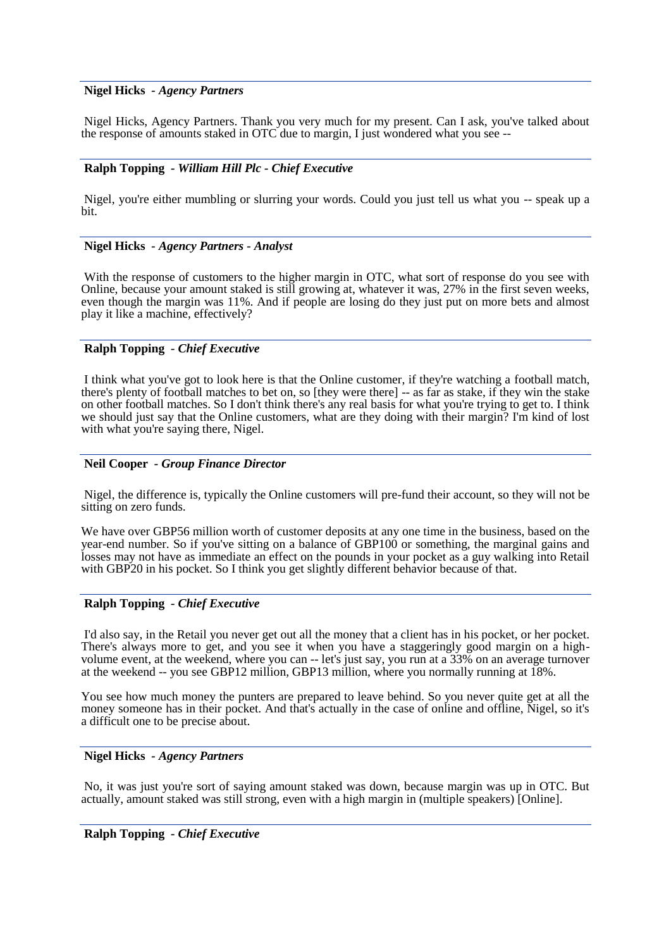## **Nigel Hicks** *- Agency Partners*

Nigel Hicks, Agency Partners. Thank you very much for my present. Can I ask, you've talked about the response of amounts staked in OTC due to margin, I just wondered what you see --

### **Ralph Topping** *- William Hill Plc - Chief Executive*

Nigel, you're either mumbling or slurring your words. Could you just tell us what you -- speak up a bit.

#### **Nigel Hicks** *- Agency Partners - Analyst*

With the response of customers to the higher margin in OTC, what sort of response do you see with Online, because your amount staked is still growing at, whatever it was, 27% in the first seven weeks, even though the margin was 11%. And if people are losing do they just put on more bets and almost play it like a machine, effectively?

## **Ralph Topping** *- Chief Executive*

I think what you've got to look here is that the Online customer, if they're watching a football match, there's plenty of football matches to bet on, so [they were there] -- as far as stake, if they win the stake on other football matches. So I don't think there's any real basis for what you're trying to get to. I think we should just say that the Online customers, what are they doing with their margin? I'm kind of lost with what you're saying there, Nigel.

#### **Neil Cooper** *- Group Finance Director*

Nigel, the difference is, typically the Online customers will pre-fund their account, so they will not be sitting on zero funds.

We have over GBP56 million worth of customer deposits at any one time in the business, based on the year-end number. So if you've sitting on a balance of GBP100 or something, the marginal gains and losses may not have as immediate an effect on the pounds in your pocket as a guy walking into Retail with GBP20 in his pocket. So I think you get slightly different behavior because of that.

## **Ralph Topping** *- Chief Executive*

I'd also say, in the Retail you never get out all the money that a client has in his pocket, or her pocket. There's always more to get, and you see it when you have a staggeringly good margin on a highvolume event, at the weekend, where you can -- let's just say, you run at a 33% on an average turnover at the weekend -- you see GBP12 million, GBP13 million, where you normally running at 18%.

You see how much money the punters are prepared to leave behind. So you never quite get at all the money someone has in their pocket. And that's actually in the case of online and offline, Nigel, so it's a difficult one to be precise about.

#### **Nigel Hicks** *- Agency Partners*

No, it was just you're sort of saying amount staked was down, because margin was up in OTC. But actually, amount staked was still strong, even with a high margin in (multiple speakers) [Online].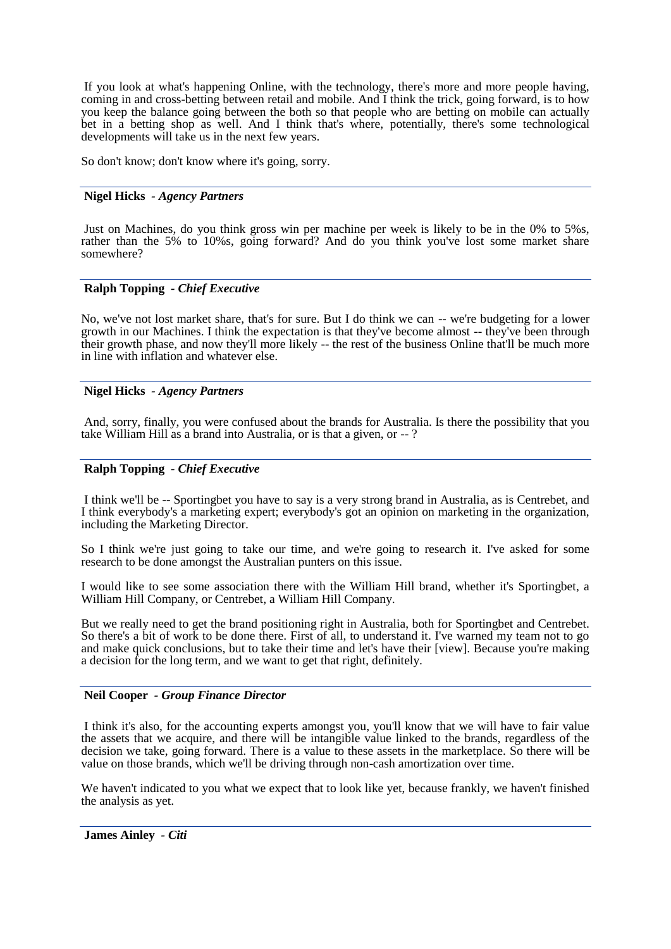If you look at what's happening Online, with the technology, there's more and more people having, coming in and cross-betting between retail and mobile. And I think the trick, going forward, is to how you keep the balance going between the both so that people who are betting on mobile can actually bet in a betting shop as well. And I think that's where, potentially, there's some technological developments will take us in the next few years.

So don't know; don't know where it's going, sorry.

## **Nigel Hicks** *- Agency Partners*

Just on Machines, do you think gross win per machine per week is likely to be in the 0% to 5%s, rather than the 5% to 10%s, going forward? And do you think you've lost some market share somewhere?

## **Ralph Topping** *- Chief Executive*

No, we've not lost market share, that's for sure. But I do think we can -- we're budgeting for a lower growth in our Machines. I think the expectation is that they've become almost -- they've been through their growth phase, and now they'll more likely -- the rest of the business Online that'll be much more in line with inflation and whatever else.

## **Nigel Hicks** *- Agency Partners*

And, sorry, finally, you were confused about the brands for Australia. Is there the possibility that you take William Hill as a brand into Australia, or is that a given, or -- ?

## **Ralph Topping** *- Chief Executive*

I think we'll be -- Sportingbet you have to say is a very strong brand in Australia, as is Centrebet, and I think everybody's a marketing expert; everybody's got an opinion on marketing in the organization, including the Marketing Director.

So I think we're just going to take our time, and we're going to research it. I've asked for some research to be done amongst the Australian punters on this issue.

I would like to see some association there with the William Hill brand, whether it's Sportingbet, a William Hill Company, or Centrebet, a William Hill Company.

But we really need to get the brand positioning right in Australia, both for Sportingbet and Centrebet. So there's a bit of work to be done there. First of all, to understand it. I've warned my team not to go and make quick conclusions, but to take their time and let's have their [view]. Because you're making a decision for the long term, and we want to get that right, definitely.

#### **Neil Cooper** *- Group Finance Director*

I think it's also, for the accounting experts amongst you, you'll know that we will have to fair value the assets that we acquire, and there will be intangible value linked to the brands, regardless of the decision we take, going forward. There is a value to these assets in the marketplace. So there will be value on those brands, which we'll be driving through non-cash amortization over time.

We haven't indicated to you what we expect that to look like yet, because frankly, we haven't finished the analysis as yet.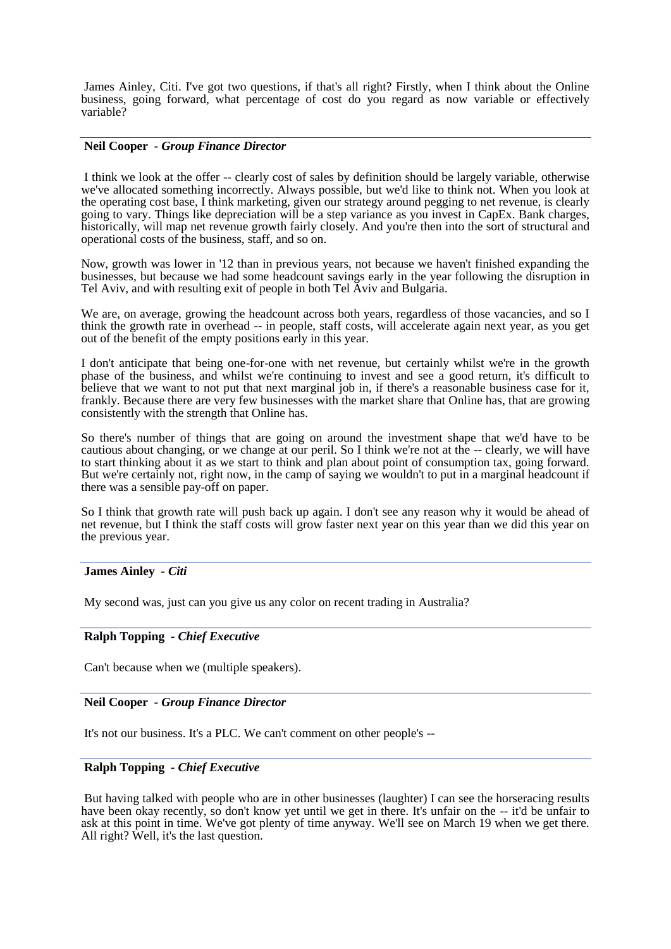James Ainley, Citi. I've got two questions, if that's all right? Firstly, when I think about the Online business, going forward, what percentage of cost do you regard as now variable or effectively variable?

## **Neil Cooper** *- Group Finance Director*

I think we look at the offer -- clearly cost of sales by definition should be largely variable, otherwise we've allocated something incorrectly. Always possible, but we'd like to think not. When you look at the operating cost base, I think marketing, given our strategy around pegging to net revenue, is clearly going to vary. Things like depreciation will be a step variance as you invest in CapEx. Bank charges, historically, will map net revenue growth fairly closely. And you're then into the sort of structural and operational costs of the business, staff, and so on.

Now, growth was lower in '12 than in previous years, not because we haven't finished expanding the businesses, but because we had some headcount savings early in the year following the disruption in Tel Aviv, and with resulting exit of people in both Tel Aviv and Bulgaria.

We are, on average, growing the headcount across both years, regardless of those vacancies, and so I think the growth rate in overhead -- in people, staff costs, will accelerate again next year, as you get out of the benefit of the empty positions early in this year.

I don't anticipate that being one-for-one with net revenue, but certainly whilst we're in the growth phase of the business, and whilst we're continuing to invest and see a good return, it's difficult to believe that we want to not put that next marginal job in, if there's a reasonable business case for it, frankly. Because there are very few businesses with the market share that Online has, that are growing consistently with the strength that Online has.

So there's number of things that are going on around the investment shape that we'd have to be cautious about changing, or we change at our peril. So I think we're not at the -- clearly, we will have to start thinking about it as we start to think and plan about point of consumption tax, going forward. But we're certainly not, right now, in the camp of saying we wouldn't to put in a marginal headcount if there was a sensible pay-off on paper.

So I think that growth rate will push back up again. I don't see any reason why it would be ahead of net revenue, but I think the staff costs will grow faster next year on this year than we did this year on the previous year.

#### **James Ainley** *- Citi*

My second was, just can you give us any color on recent trading in Australia?

## **Ralph Topping** *- Chief Executive*

Can't because when we (multiple speakers).

#### **Neil Cooper** *- Group Finance Director*

It's not our business. It's a PLC. We can't comment on other people's --

#### **Ralph Topping** *- Chief Executive*

But having talked with people who are in other businesses (laughter) I can see the horseracing results have been okay recently, so don't know yet until we get in there. It's unfair on the -- it'd be unfair to ask at this point in time. We've got plenty of time anyway. We'll see on March 19 when we get there. All right? Well, it's the last question.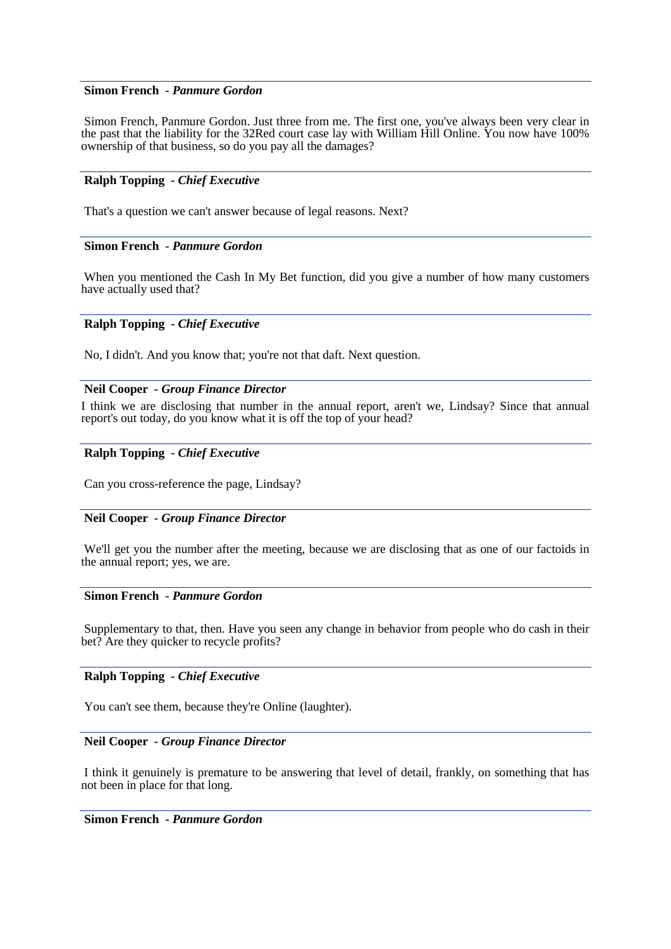## **Simon French** *- Panmure Gordon*

Simon French, Panmure Gordon. Just three from me. The first one, you've always been very clear in the past that the liability for the 32Red court case lay with William Hill Online. You now have 100% ownership of that business, so do you pay all the damages?

## **Ralph Topping** *- Chief Executive*

That's a question we can't answer because of legal reasons. Next?

## **Simon French** *- Panmure Gordon*

When you mentioned the Cash In My Bet function, did you give a number of how many customers have actually used that?

## **Ralph Topping** *- Chief Executive*

No, I didn't. And you know that; you're not that daft. Next question.

#### **Neil Cooper** *- Group Finance Director*

I think we are disclosing that number in the annual report, aren't we, Lindsay? Since that annual report's out today, do you know what it is off the top of your head?

#### **Ralph Topping** *- Chief Executive*

Can you cross-reference the page, Lindsay?

#### **Neil Cooper** *- Group Finance Director*

We'll get you the number after the meeting, because we are disclosing that as one of our factoids in the annual report; yes, we are.

## **Simon French** *- Panmure Gordon*

Supplementary to that, then. Have you seen any change in behavior from people who do cash in their bet? Are they quicker to recycle profits?

## **Ralph Topping** *- Chief Executive*

You can't see them, because they're Online (laughter).

#### **Neil Cooper** *- Group Finance Director*

I think it genuinely is premature to be answering that level of detail, frankly, on something that has not been in place for that long.

## **Simon French** *- Panmure Gordon*